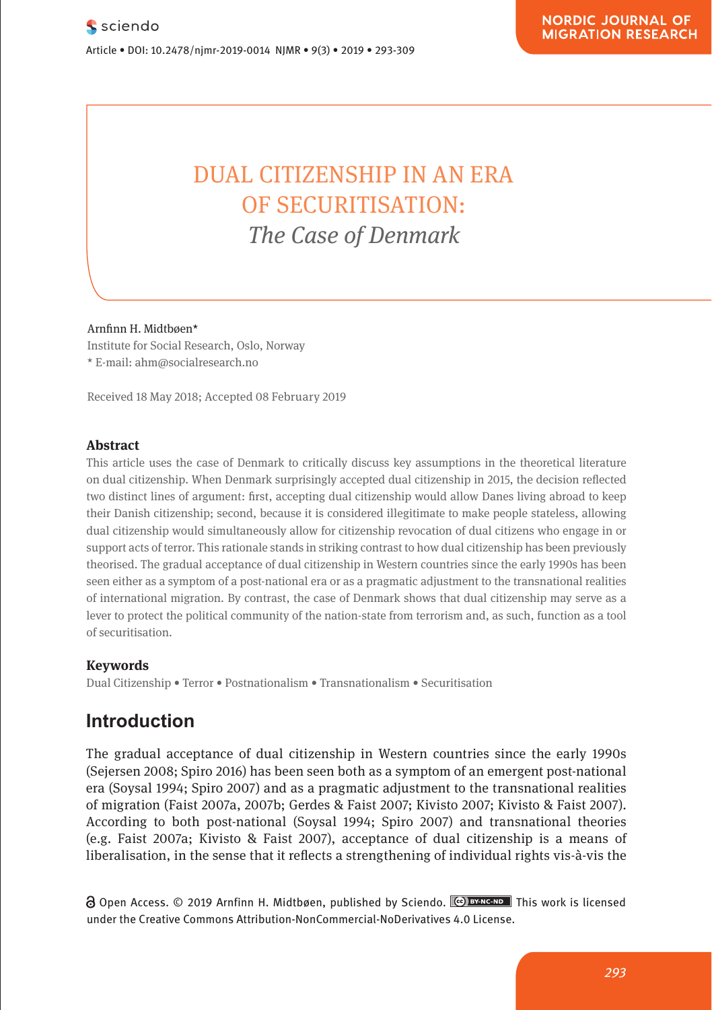## **DUAL CITIZENSHIP IN AN ERA SECURITISATION:** *The Case of Denmark*  $\frac{1}{\sqrt{1 + \epsilon^2}}$  $\sum_{i=1}^{n}$  is so and  $\sum_{i=1}^{n}$  is so and  $\sum_{i=1}^{n}$  is so and  $\sum_{i=1}^{n}$  is so and  $\sum_{i=1}^{n}$  is so and  $\sum_{i=1}^{n}$  is so and  $\sum_{i=1}^{n}$  is so and  $\sum_{i=1}^{n}$  is so and  $\sum_{i=1}^{n}$  is so and  $\sum_{i=1}^{n}$  i

**Pharmacological and Mental Self-transformation in Ethic** 

Arnfinn H. Midtbøen\* **Comparison**

Research Article

Institute for Social Research, Oslo, Norway  $\star$  E-mail: ahm@socialresearch.no

Received 18 May 2018; Accepted 08 February 2019

#### **Abstract**

This article uses the case of Denmark to critically discuss key assumptions in the theoretical literature on dual citizenship. When Denmark surprisingly accepted dual citizenship in 2015, the decision reflected two distinct lines of argument: first, accepting dual citizenship would allow Danes living abroad to keep are main investigation and the main investigation and the main investigation and the main investigation and the main their Danish citizenship; second, because it is considered illegitimate to make people stateless, allowing dual citizenship would simultaneously allow for citizenship revocation of dual citizens who engage in or dual citizens who engage in or support acts of terror. This rationale stands in striking contrast to how dual citizenship has been previously theorised. The gradual acceptance of dual citizenship in Western countries since the early 1990s has been meonsed. The gradual acceptance or duarentiesismp in western countries since the early 1990s has been<br>seen either as a symptom of a post-national era or as a pragmatic adjustment to the transmational realities of international migration. By contrast, the case of Denmark shows that dual citizenship may serve as a lever to protect the political community of the nation-state from terrorism and, as such, function as a tool of securitisation.

#### **Keywords**

Journal xyz 2017; 1 (2): 122–135

**125 1222**<br>Dual Citizenship • Terror • Postnationalism • Transnationalism • Securitisation

## **Introduction** also includes the period between the entry into force and period between the entry into force and  $\mathbf{r}$

The gradual acceptance of dual citizenship in Western countries since the early 1990s (Sejersen 2008; Spiro 2016) has been seen both as a symptom of an emergent post-national era (Soysal 1994; Spiro 2007) and as a pragmatic adjustment to the transnational realities of migration (Faist 2007a, 2007b; Gerdes & Faist 2007; Kivisto 2007; Kivisto & Faist 2007). According to both post-national (Soysal 1994; Spiro 2007) and transnational theories (e.g. Faist 2007a; Kivisto & Faist 2007), acceptance of dual citizenship is a means of liberalisation, in the sense that it reflects a strengthening of individual rights vis-à-vis the The gradual acceptance of  $\sigma$ 

∂ Open Access. © 2019 Arnfinn H. Midtbøen, published by Sciendo. <u>™ Phis</u> work is licensed under the Creative Commons Attribution-NonCommercial-NoDerivatives 4.0 License.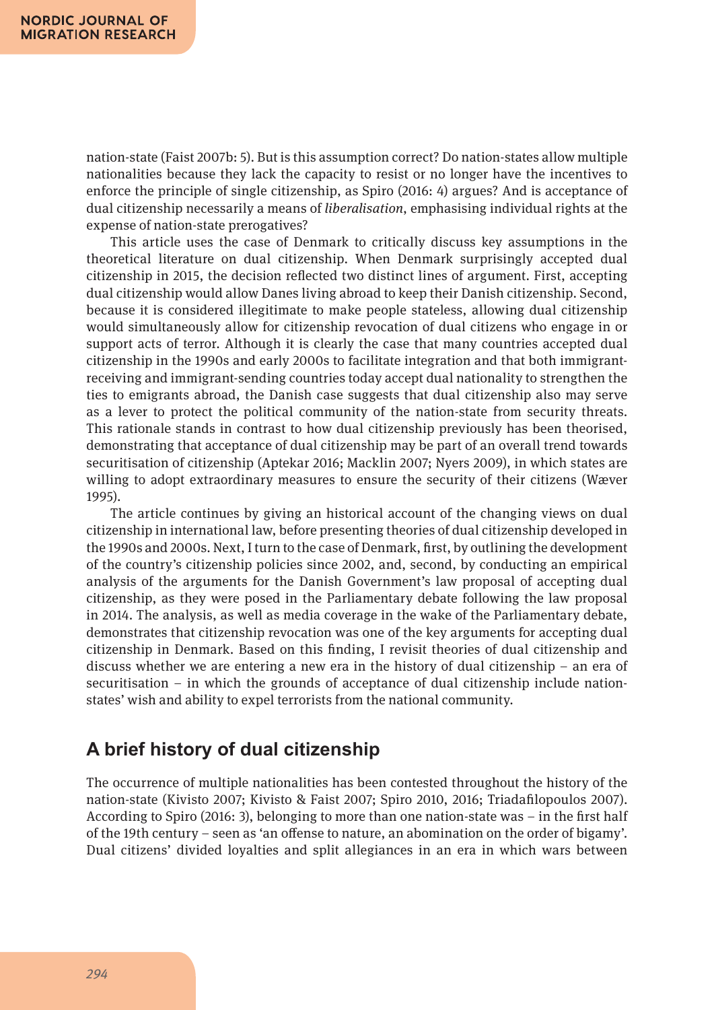nation-state (Faist 2007b: 5). But is this assumption correct? Do nation-states allow multiple nationalities because they lack the capacity to resist or no longer have the incentives to enforce the principle of single citizenship, as Spiro (2016: 4) argues? And is acceptance of dual citizenship necessarily a means of *liberalisation*, emphasising individual rights at the expense of nation-state prerogatives?

This article uses the case of Denmark to critically discuss key assumptions in the theoretical literature on dual citizenship. When Denmark surprisingly accepted dual citizenship in 2015, the decision reflected two distinct lines of argument. First, accepting dual citizenship would allow Danes living abroad to keep their Danish citizenship. Second, because it is considered illegitimate to make people stateless, allowing dual citizenship would simultaneously allow for citizenship revocation of dual citizens who engage in or support acts of terror. Although it is clearly the case that many countries accepted dual citizenship in the 1990s and early 2000s to facilitate integration and that both immigrantreceiving and immigrant-sending countries today accept dual nationality to strengthen the ties to emigrants abroad, the Danish case suggests that dual citizenship also may serve as a lever to protect the political community of the nation-state from security threats. This rationale stands in contrast to how dual citizenship previously has been theorised, demonstrating that acceptance of dual citizenship may be part of an overall trend towards securitisation of citizenship (Aptekar 2016; Macklin 2007; Nyers 2009), in which states are willing to adopt extraordinary measures to ensure the security of their citizens (Wæver 1995).

The article continues by giving an historical account of the changing views on dual citizenship in international law, before presenting theories of dual citizenship developed in the 1990s and 2000s. Next, I turn to the case of Denmark, first, by outlining the development of the country's citizenship policies since 2002, and, second, by conducting an empirical analysis of the arguments for the Danish Government's law proposal of accepting dual citizenship, as they were posed in the Parliamentary debate following the law proposal in 2014. The analysis, as well as media coverage in the wake of the Parliamentary debate, demonstrates that citizenship revocation was one of the key arguments for accepting dual citizenship in Denmark. Based on this finding, I revisit theories of dual citizenship and discuss whether we are entering a new era in the history of dual citizenship – an era of securitisation – in which the grounds of acceptance of dual citizenship include nationstates' wish and ability to expel terrorists from the national community.

#### **A brief history of dual citizenship**

The occurrence of multiple nationalities has been contested throughout the history of the nation-state (Kivisto 2007; Kivisto & Faist 2007; Spiro 2010, 2016; Triadafilopoulos 2007). According to Spiro (2016: 3), belonging to more than one nation-state was – in the first half of the 19th century – seen as 'an offense to nature, an abomination on the order of bigamy'. Dual citizens' divided loyalties and split allegiances in an era in which wars between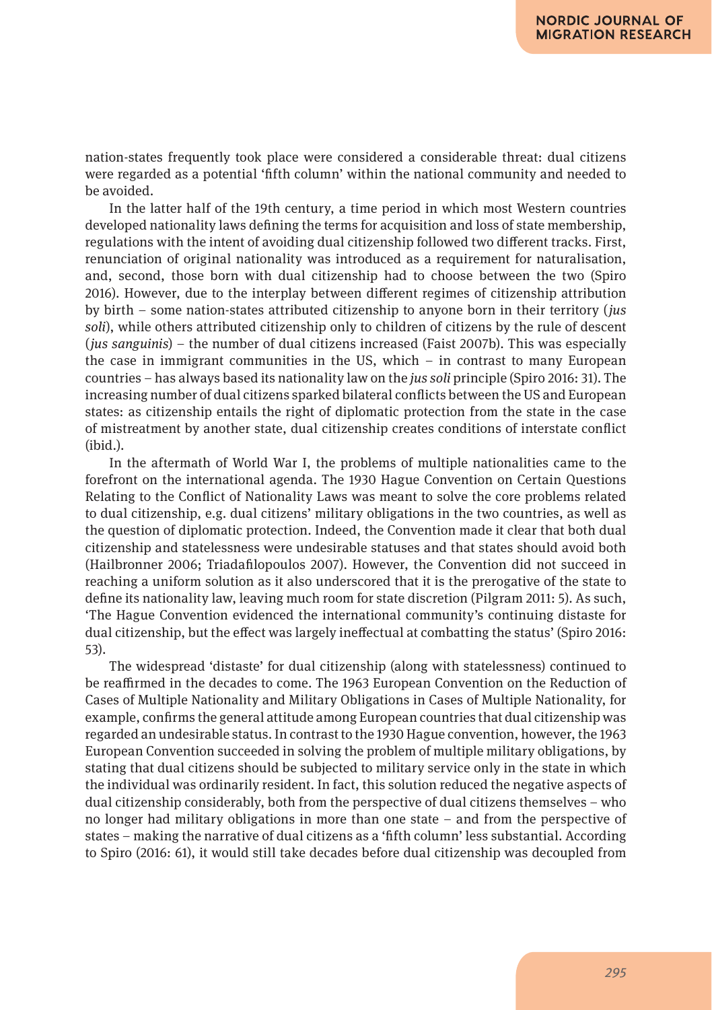nation-states frequently took place were considered a considerable threat: dual citizens were regarded as a potential 'fifth column' within the national community and needed to be avoided.

In the latter half of the 19th century, a time period in which most Western countries developed nationality laws defining the terms for acquisition and loss of state membership, regulations with the intent of avoiding dual citizenship followed two different tracks. First, renunciation of original nationality was introduced as a requirement for naturalisation, and, second, those born with dual citizenship had to choose between the two (Spiro 2016). However, due to the interplay between different regimes of citizenship attribution by birth – some nation-states attributed citizenship to anyone born in their territory (*jus soli*), while others attributed citizenship only to children of citizens by the rule of descent (*jus sanguinis*) – the number of dual citizens increased (Faist 2007b). This was especially the case in immigrant communities in the US, which – in contrast to many European countries – has always based its nationality law on the *jus soli* principle (Spiro 2016: 31). The increasing number of dual citizens sparked bilateral conflicts between the US and European states: as citizenship entails the right of diplomatic protection from the state in the case of mistreatment by another state, dual citizenship creates conditions of interstate conflict (ibid.).

In the aftermath of World War I, the problems of multiple nationalities came to the forefront on the international agenda. The 1930 Hague Convention on Certain Questions Relating to the Conflict of Nationality Laws was meant to solve the core problems related to dual citizenship, e.g. dual citizens' military obligations in the two countries, as well as the question of diplomatic protection. Indeed, the Convention made it clear that both dual citizenship and statelessness were undesirable statuses and that states should avoid both (Hailbronner 2006; Triadafilopoulos 2007). However, the Convention did not succeed in reaching a uniform solution as it also underscored that it is the prerogative of the state to define its nationality law, leaving much room for state discretion (Pilgram 2011: 5). As such, 'The Hague Convention evidenced the international community's continuing distaste for dual citizenship, but the effect was largely ineffectual at combatting the status' (Spiro 2016: 53).

The widespread 'distaste' for dual citizenship (along with statelessness) continued to be reaffirmed in the decades to come. The 1963 European Convention on the Reduction of Cases of Multiple Nationality and Military Obligations in Cases of Multiple Nationality, for example, confirms the general attitude among European countries that dual citizenship was regarded an undesirable status. In contrast to the 1930 Hague convention, however, the 1963 European Convention succeeded in solving the problem of multiple military obligations, by stating that dual citizens should be subjected to military service only in the state in which the individual was ordinarily resident. In fact, this solution reduced the negative aspects of dual citizenship considerably, both from the perspective of dual citizens themselves – who no longer had military obligations in more than one state – and from the perspective of states – making the narrative of dual citizens as a 'fifth column' less substantial. According to Spiro (2016: 61), it would still take decades before dual citizenship was decoupled from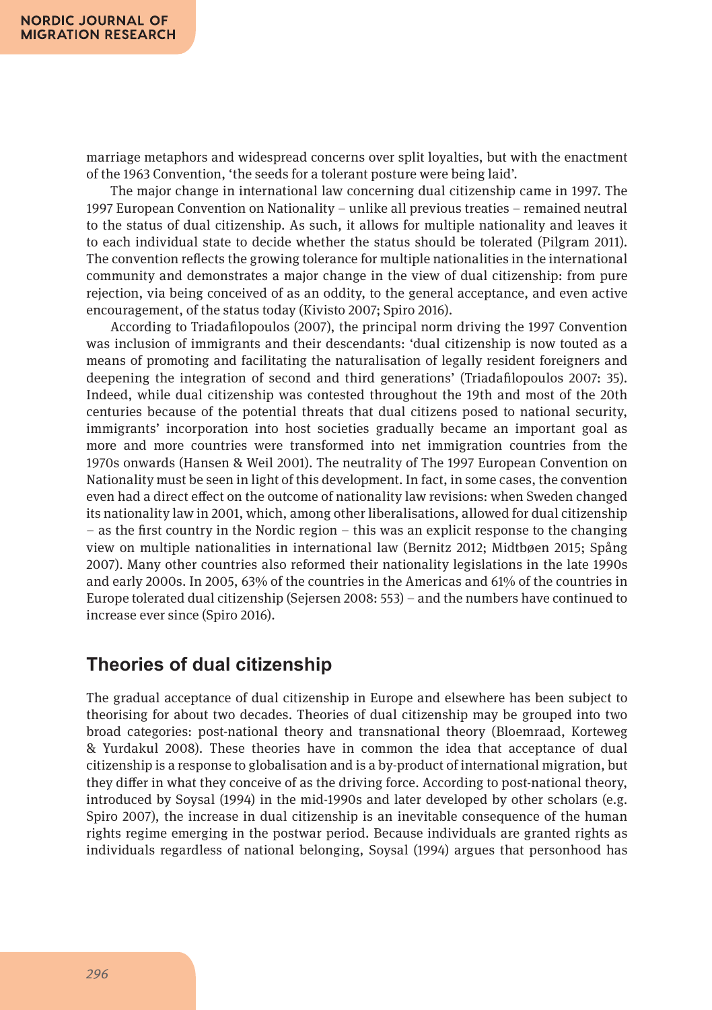marriage metaphors and widespread concerns over split loyalties, but with the enactment of the 1963 Convention, 'the seeds for a tolerant posture were being laid'.

The major change in international law concerning dual citizenship came in 1997. The 1997 European Convention on Nationality – unlike all previous treaties – remained neutral to the status of dual citizenship. As such, it allows for multiple nationality and leaves it to each individual state to decide whether the status should be tolerated (Pilgram 2011). The convention reflects the growing tolerance for multiple nationalities in the international community and demonstrates a major change in the view of dual citizenship: from pure rejection, via being conceived of as an oddity, to the general acceptance, and even active encouragement, of the status today (Kivisto 2007; Spiro 2016).

According to Triadafilopoulos (2007), the principal norm driving the 1997 Convention was inclusion of immigrants and their descendants: 'dual citizenship is now touted as a means of promoting and facilitating the naturalisation of legally resident foreigners and deepening the integration of second and third generations' (Triadafilopoulos 2007: 35). Indeed, while dual citizenship was contested throughout the 19th and most of the 20th centuries because of the potential threats that dual citizens posed to national security, immigrants' incorporation into host societies gradually became an important goal as more and more countries were transformed into net immigration countries from the 1970s onwards (Hansen & Weil 2001). The neutrality of The 1997 European Convention on Nationality must be seen in light of this development. In fact, in some cases, the convention even had a direct effect on the outcome of nationality law revisions: when Sweden changed its nationality law in 2001, which, among other liberalisations, allowed for dual citizenship – as the first country in the Nordic region – this was an explicit response to the changing view on multiple nationalities in international law (Bernitz 2012; Midtbøen 2015; Spång 2007). Many other countries also reformed their nationality legislations in the late 1990s and early 2000s. In 2005, 63% of the countries in the Americas and 61% of the countries in Europe tolerated dual citizenship (Sejersen 2008: 553) – and the numbers have continued to increase ever since (Spiro 2016).

#### **Theories of dual citizenship**

The gradual acceptance of dual citizenship in Europe and elsewhere has been subject to theorising for about two decades. Theories of dual citizenship may be grouped into two broad categories: post-national theory and transnational theory (Bloemraad, Korteweg & Yurdakul 2008). These theories have in common the idea that acceptance of dual citizenship is a response to globalisation and is a by-product of international migration, but they differ in what they conceive of as the driving force. According to post-national theory, introduced by Soysal (1994) in the mid-1990s and later developed by other scholars (e.g. Spiro 2007), the increase in dual citizenship is an inevitable consequence of the human rights regime emerging in the postwar period. Because individuals are granted rights as individuals regardless of national belonging, Soysal (1994) argues that personhood has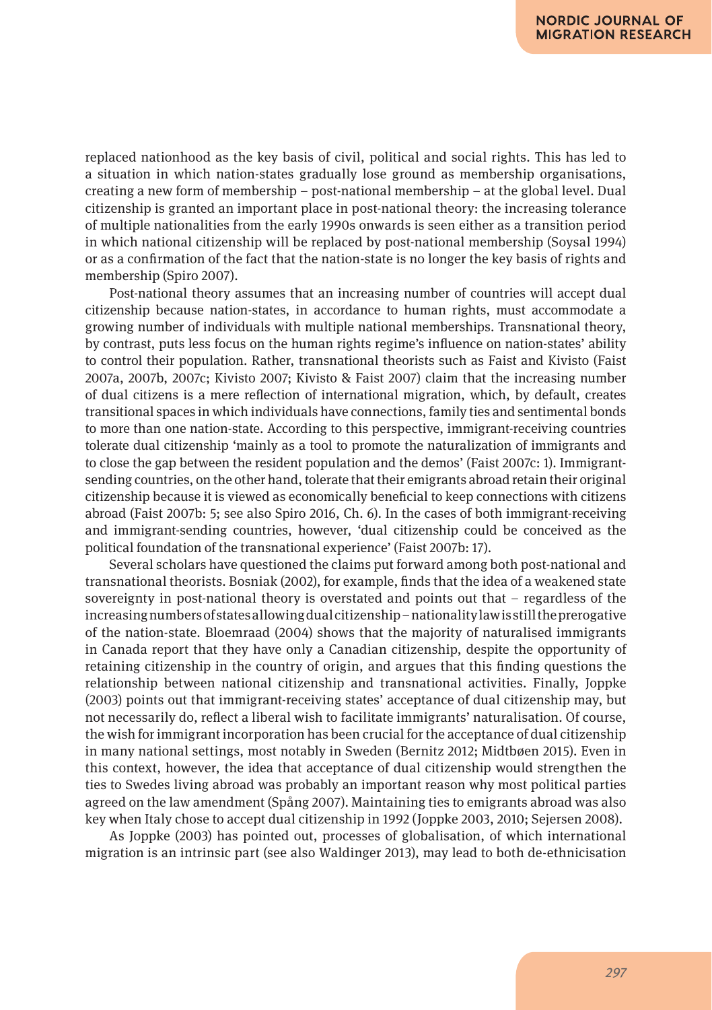replaced nationhood as the key basis of civil, political and social rights. This has led to a situation in which nation-states gradually lose ground as membership organisations, creating a new form of membership – post-national membership – at the global level. Dual citizenship is granted an important place in post-national theory: the increasing tolerance of multiple nationalities from the early 1990s onwards is seen either as a transition period in which national citizenship will be replaced by post-national membership (Soysal 1994) or as a confirmation of the fact that the nation-state is no longer the key basis of rights and membership (Spiro 2007).

Post-national theory assumes that an increasing number of countries will accept dual citizenship because nation-states, in accordance to human rights, must accommodate a growing number of individuals with multiple national memberships. Transnational theory, by contrast, puts less focus on the human rights regime's influence on nation-states' ability to control their population. Rather, transnational theorists such as Faist and Kivisto (Faist 2007a, 2007b, 2007c; Kivisto 2007; Kivisto & Faist 2007) claim that the increasing number of dual citizens is a mere reflection of international migration, which, by default, creates transitional spaces in which individuals have connections, family ties and sentimental bonds to more than one nation-state. According to this perspective, immigrant-receiving countries tolerate dual citizenship 'mainly as a tool to promote the naturalization of immigrants and to close the gap between the resident population and the demos' (Faist 2007c: 1). Immigrantsending countries, on the other hand, tolerate that their emigrants abroad retain their original citizenship because it is viewed as economically beneficial to keep connections with citizens abroad (Faist 2007b: 5; see also Spiro 2016, Ch. 6). In the cases of both immigrant-receiving and immigrant-sending countries, however, 'dual citizenship could be conceived as the political foundation of the transnational experience' (Faist 2007b: 17).

Several scholars have questioned the claims put forward among both post-national and transnational theorists. Bosniak (2002), for example, finds that the idea of a weakened state sovereignty in post-national theory is overstated and points out that – regardless of the increasing numbers of states allowing dual citizenship – nationality law is still the prerogative of the nation-state. Bloemraad (2004) shows that the majority of naturalised immigrants in Canada report that they have only a Canadian citizenship, despite the opportunity of retaining citizenship in the country of origin, and argues that this finding questions the relationship between national citizenship and transnational activities. Finally, Joppke (2003) points out that immigrant-receiving states' acceptance of dual citizenship may, but not necessarily do, reflect a liberal wish to facilitate immigrants' naturalisation. Of course, the wish for immigrant incorporation has been crucial for the acceptance of dual citizenship in many national settings, most notably in Sweden (Bernitz 2012; Midtbøen 2015). Even in this context, however, the idea that acceptance of dual citizenship would strengthen the ties to Swedes living abroad was probably an important reason why most political parties agreed on the law amendment (Spång 2007). Maintaining ties to emigrants abroad was also key when Italy chose to accept dual citizenship in 1992 (Joppke 2003, 2010; Sejersen 2008).

As Joppke (2003) has pointed out, processes of globalisation, of which international migration is an intrinsic part (see also Waldinger 2013), may lead to both de-ethnicisation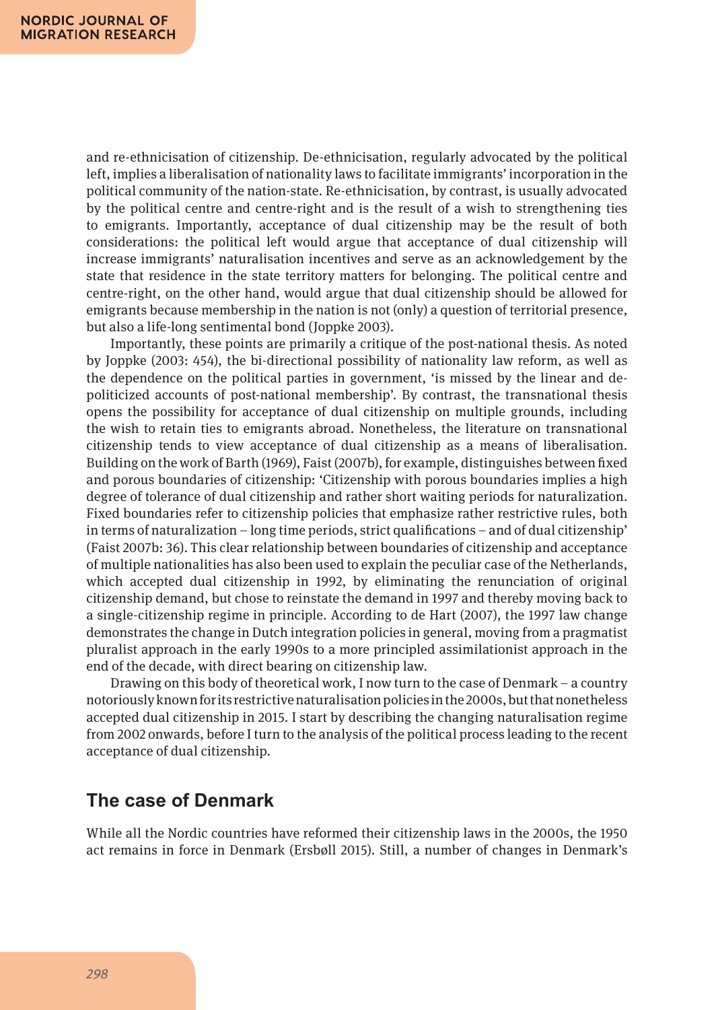and re-ethnicisation of citizenship. De-ethnicisation, regularly advocated by the political left, implies a liberalisation of nationality laws to facilitate immigrants' incorporation in the political community of the nation-state. Re-ethnicisation, by contrast, is usually advocated by the political centre and centre-right and is the result of a wish to strengthening ties to emigrants. Importantly, acceptance of dual citizenship may be the result of both considerations: the political left would argue that acceptance of dual citizenship will increase immigrants' naturalisation incentives and serve as an acknowledgement by the state that residence in the state territory matters for belonging. The political centre and centre-right, on the other hand, would argue that dual citizenship should be allowed for emigrants because membership in the nation is not (only) a question of territorial presence, but also a life-long sentimental bond (Joppke 2003).

Importantly, these points are primarily a critique of the post-national thesis. As noted by Joppke (2003: 454), the bi-directional possibility of nationality law reform, as well as the dependence on the political parties in government, 'is missed by the linear and depoliticized accounts of post-national membership'. By contrast, the transnational thesis opens the possibility for acceptance of dual citizenship on multiple grounds, including the wish to retain ties to emigrants abroad. Nonetheless, the literature on transnational citizenship tends to view acceptance of dual citizenship as a means of liberalisation. Building on the work of Barth (1969), Faist (2007b), for example, distinguishes between fixed and porous boundaries of citizenship: 'Citizenship with porous boundaries implies a high degree of tolerance of dual citizenship and rather short waiting periods for naturalization. Fixed boundaries refer to citizenship policies that emphasize rather restrictive rules, both in terms of naturalization – long time periods, strict qualifications – and of dual citizenship' (Faist 2007b: 36). This clear relationship between boundaries of citizenship and acceptance of multiple nationalities has also been used to explain the peculiar case of the Netherlands, which accepted dual citizenship in 1992, by eliminating the renunciation of original citizenship demand, but chose to reinstate the demand in 1997 and thereby moving back to a single-citizenship regime in principle. According to de Hart (2007), the 1997 law change demonstrates the change in Dutch integration policies in general, moving from a pragmatist pluralist approach in the early 1990s to a more principled assimilationist approach in the end of the decade, with direct bearing on citizenship law.

Drawing on this body of theoretical work, I now turn to the case of Denmark – a country notoriously known for its restrictive naturalisation policies in the 2000s, but that nonetheless accepted dual citizenship in 2015. I start by describing the changing naturalisation regime from 2002 onwards, before I turn to the analysis of the political process leading to the recent acceptance of dual citizenship.

#### **The case of Denmark**

While all the Nordic countries have reformed their citizenship laws in the 2000s, the 1950 act remains in force in Denmark (Ersbøll 2015). Still, a number of changes in Denmark's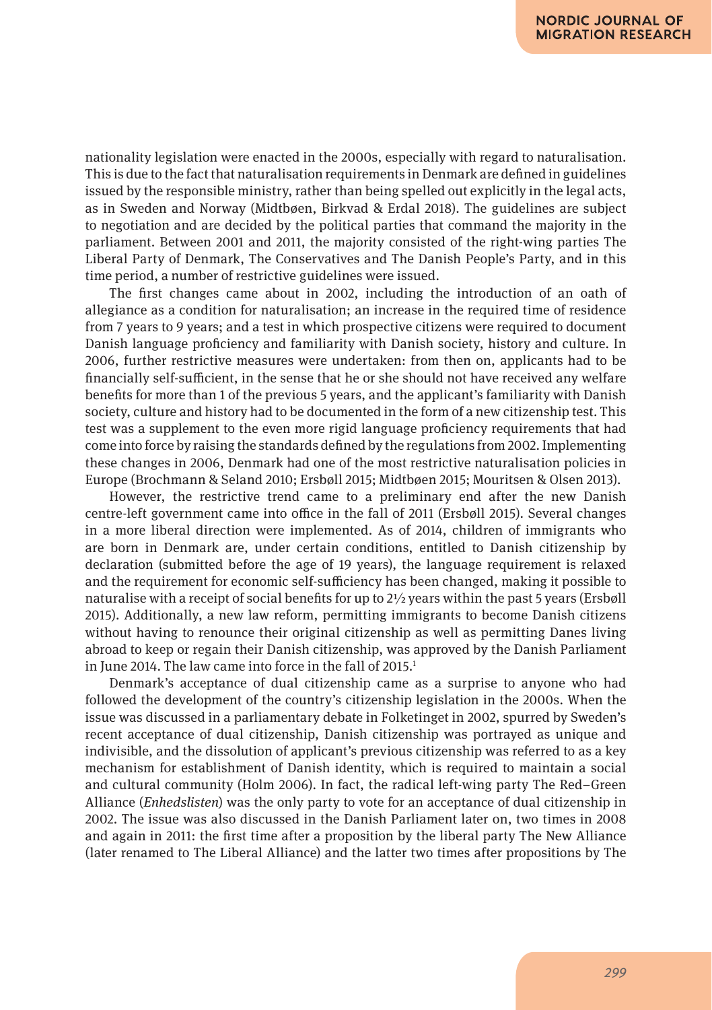nationality legislation were enacted in the 2000s, especially with regard to naturalisation. This is due to the fact that naturalisation requirements in Denmark are defined in guidelines issued by the responsible ministry, rather than being spelled out explicitly in the legal acts, as in Sweden and Norway (Midtbøen, Birkvad & Erdal 2018). The guidelines are subject to negotiation and are decided by the political parties that command the majority in the parliament. Between 2001 and 2011, the majority consisted of the right-wing parties The Liberal Party of Denmark, The Conservatives and The Danish People's Party, and in this time period, a number of restrictive guidelines were issued.

The first changes came about in 2002, including the introduction of an oath of allegiance as a condition for naturalisation; an increase in the required time of residence from 7 years to 9 years; and a test in which prospective citizens were required to document Danish language proficiency and familiarity with Danish society, history and culture. In 2006, further restrictive measures were undertaken: from then on, applicants had to be financially self-sufficient, in the sense that he or she should not have received any welfare benefits for more than 1 of the previous 5 years, and the applicant's familiarity with Danish society, culture and history had to be documented in the form of a new citizenship test. This test was a supplement to the even more rigid language proficiency requirements that had come into force by raising the standards defined by the regulations from 2002. Implementing these changes in 2006, Denmark had one of the most restrictive naturalisation policies in Europe (Brochmann & Seland 2010; Ersbøll 2015; Midtbøen 2015; Mouritsen & Olsen 2013).

However, the restrictive trend came to a preliminary end after the new Danish centre-left government came into office in the fall of 2011 (Ersbøll 2015). Several changes in a more liberal direction were implemented. As of 2014, children of immigrants who are born in Denmark are, under certain conditions, entitled to Danish citizenship by declaration (submitted before the age of 19 years), the language requirement is relaxed and the requirement for economic self-sufficiency has been changed, making it possible to naturalise with a receipt of social benefits for up to  $2\frac{1}{2}$  years within the past 5 years (Ersbøll 2015). Additionally, a new law reform, permitting immigrants to become Danish citizens without having to renounce their original citizenship as well as permitting Danes living abroad to keep or regain their Danish citizenship, was approved by the Danish Parliament in June 2014. The law came into force in the fall of  $2015.<sup>1</sup>$ 

Denmark's acceptance of dual citizenship came as a surprise to anyone who had followed the development of the country's citizenship legislation in the 2000s. When the issue was discussed in a parliamentary debate in Folketinget in 2002, spurred by Sweden's recent acceptance of dual citizenship, Danish citizenship was portrayed as unique and indivisible, and the dissolution of applicant's previous citizenship was referred to as a key mechanism for establishment of Danish identity, which is required to maintain a social and cultural community (Holm 2006). In fact, the radical left-wing party The Red–Green Alliance (*Enhedslisten*) was the only party to vote for an acceptance of dual citizenship in 2002. The issue was also discussed in the Danish Parliament later on, two times in 2008 and again in 2011: the first time after a proposition by the liberal party The New Alliance (later renamed to The Liberal Alliance) and the latter two times after propositions by The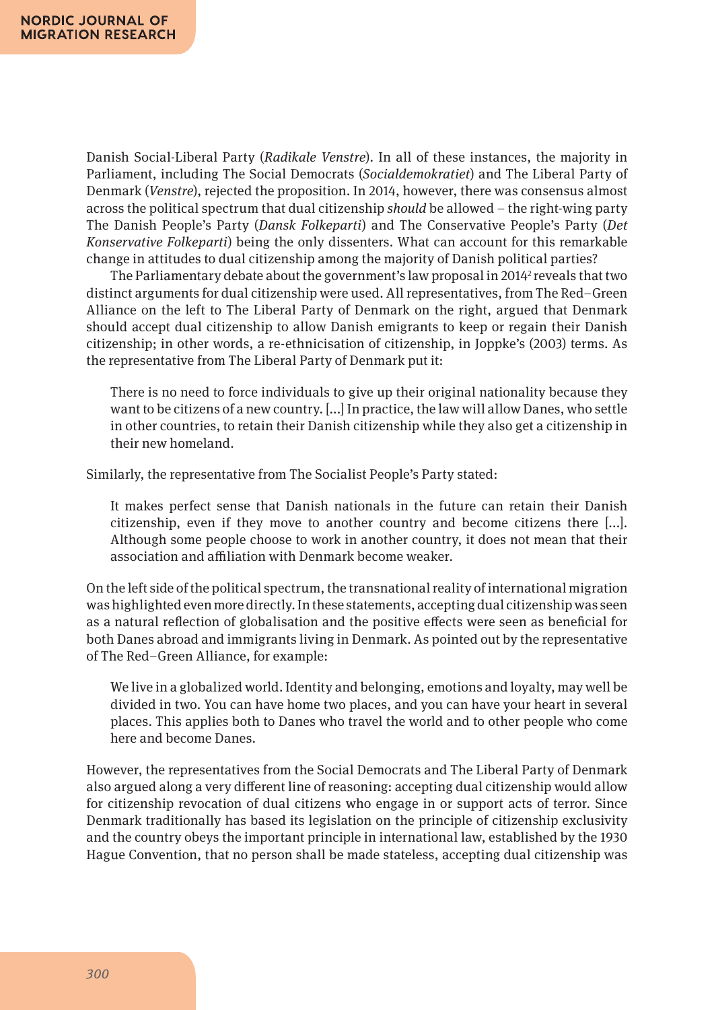Danish Social-Liberal Party (*Radikale Venstre*). In all of these instances, the majority in Parliament, including The Social Democrats (*Socialdemokratiet*) and The Liberal Party of Denmark (*Venstre*), rejected the proposition. In 2014, however, there was consensus almost across the political spectrum that dual citizenship *should* be allowed – the right-wing party The Danish People's Party (*Dansk Folkeparti*) and The Conservative People's Party (*Det Konservative Folkeparti*) being the only dissenters. What can account for this remarkable change in attitudes to dual citizenship among the majority of Danish political parties?

The Parliamentary debate about the government's law proposal in 2014<sup>2</sup> reveals that two distinct arguments for dual citizenship were used. All representatives, from The Red–Green Alliance on the left to The Liberal Party of Denmark on the right, argued that Denmark should accept dual citizenship to allow Danish emigrants to keep or regain their Danish citizenship; in other words, a re-ethnicisation of citizenship, in Joppke's (2003) terms. As the representative from The Liberal Party of Denmark put it:

There is no need to force individuals to give up their original nationality because they want to be citizens of a new country. [...] In practice, the law will allow Danes, who settle in other countries, to retain their Danish citizenship while they also get a citizenship in their new homeland.

Similarly, the representative from The Socialist People's Party stated:

It makes perfect sense that Danish nationals in the future can retain their Danish citizenship, even if they move to another country and become citizens there [...]. Although some people choose to work in another country, it does not mean that their association and affiliation with Denmark become weaker.

On the left side of the political spectrum, the transnational reality of international migration was highlighted even more directly. In these statements, accepting dual citizenship was seen as a natural reflection of globalisation and the positive effects were seen as beneficial for both Danes abroad and immigrants living in Denmark. As pointed out by the representative of The Red–Green Alliance, for example:

We live in a globalized world. Identity and belonging, emotions and loyalty, may well be divided in two. You can have home two places, and you can have your heart in several places. This applies both to Danes who travel the world and to other people who come here and become Danes.

However, the representatives from the Social Democrats and The Liberal Party of Denmark also argued along a very different line of reasoning: accepting dual citizenship would allow for citizenship revocation of dual citizens who engage in or support acts of terror. Since Denmark traditionally has based its legislation on the principle of citizenship exclusivity and the country obeys the important principle in international law, established by the 1930 Hague Convention, that no person shall be made stateless, accepting dual citizenship was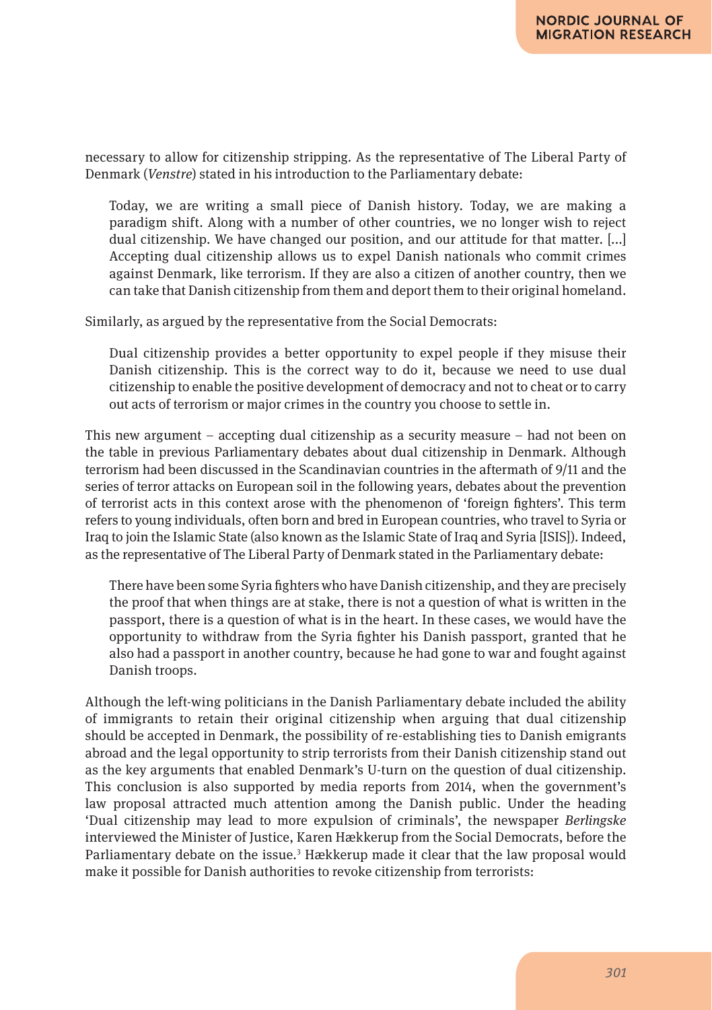necessary to allow for citizenship stripping. As the representative of The Liberal Party of Denmark (*Venstre*) stated in his introduction to the Parliamentary debate:

Today, we are writing a small piece of Danish history. Today, we are making a paradigm shift. Along with a number of other countries, we no longer wish to reject dual citizenship. We have changed our position, and our attitude for that matter. [...] Accepting dual citizenship allows us to expel Danish nationals who commit crimes against Denmark, like terrorism. If they are also a citizen of another country, then we can take that Danish citizenship from them and deport them to their original homeland.

Similarly, as argued by the representative from the Social Democrats:

Dual citizenship provides a better opportunity to expel people if they misuse their Danish citizenship. This is the correct way to do it, because we need to use dual citizenship to enable the positive development of democracy and not to cheat or to carry out acts of terrorism or major crimes in the country you choose to settle in.

This new argument – accepting dual citizenship as a security measure – had not been on the table in previous Parliamentary debates about dual citizenship in Denmark. Although terrorism had been discussed in the Scandinavian countries in the aftermath of 9/11 and the series of terror attacks on European soil in the following years, debates about the prevention of terrorist acts in this context arose with the phenomenon of 'foreign fighters'. This term refers to young individuals, often born and bred in European countries, who travel to Syria or Iraq to join the Islamic State (also known as the Islamic State of Iraq and Syria [ISIS]). Indeed, as the representative of The Liberal Party of Denmark stated in the Parliamentary debate:

There have been some Syria fighters who have Danish citizenship, and they are precisely the proof that when things are at stake, there is not a question of what is written in the passport, there is a question of what is in the heart. In these cases, we would have the opportunity to withdraw from the Syria fighter his Danish passport, granted that he also had a passport in another country, because he had gone to war and fought against Danish troops.

Although the left-wing politicians in the Danish Parliamentary debate included the ability of immigrants to retain their original citizenship when arguing that dual citizenship should be accepted in Denmark, the possibility of re-establishing ties to Danish emigrants abroad and the legal opportunity to strip terrorists from their Danish citizenship stand out as the key arguments that enabled Denmark's U-turn on the question of dual citizenship. This conclusion is also supported by media reports from 2014, when the government's law proposal attracted much attention among the Danish public. Under the heading 'Dual citizenship may lead to more expulsion of criminals', the newspaper *Berlingske* interviewed the Minister of Justice, Karen Hækkerup from the Social Democrats, before the Parliamentary debate on the issue.<sup>3</sup> Hækkerup made it clear that the law proposal would make it possible for Danish authorities to revoke citizenship from terrorists: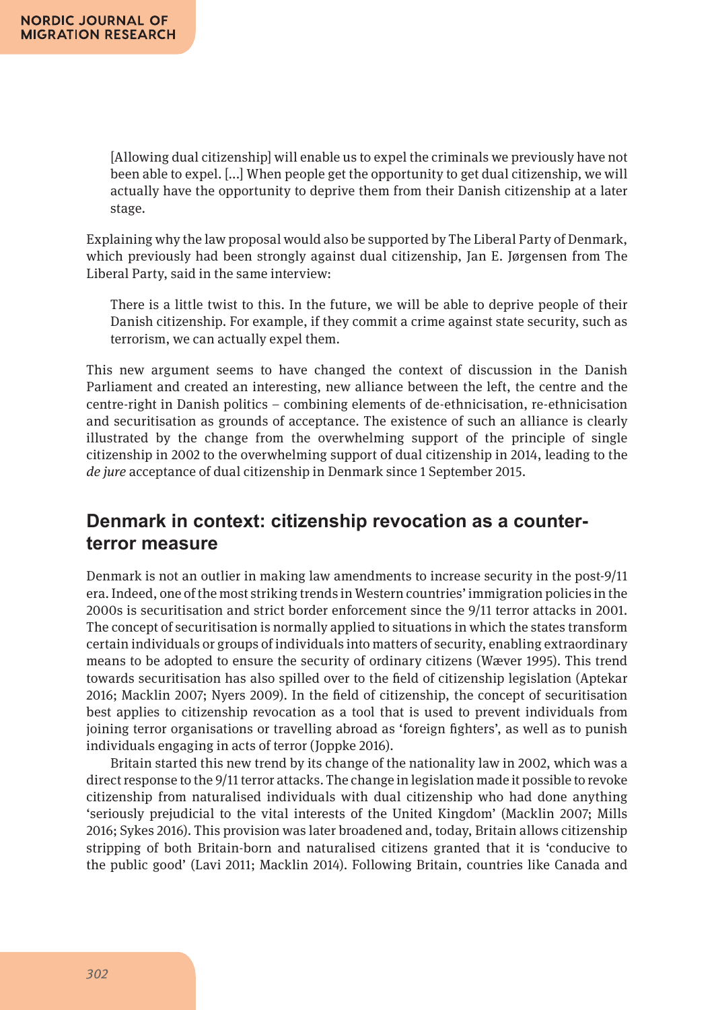[Allowing dual citizenship] will enable us to expel the criminals we previously have not been able to expel. [...] When people get the opportunity to get dual citizenship, we will actually have the opportunity to deprive them from their Danish citizenship at a later stage.

Explaining why the law proposal would also be supported by The Liberal Party of Denmark, which previously had been strongly against dual citizenship, Jan E. Jørgensen from The Liberal Party, said in the same interview:

There is a little twist to this. In the future, we will be able to deprive people of their Danish citizenship. For example, if they commit a crime against state security, such as terrorism, we can actually expel them.

This new argument seems to have changed the context of discussion in the Danish Parliament and created an interesting, new alliance between the left, the centre and the centre-right in Danish politics – combining elements of de-ethnicisation, re-ethnicisation and securitisation as grounds of acceptance. The existence of such an alliance is clearly illustrated by the change from the overwhelming support of the principle of single citizenship in 2002 to the overwhelming support of dual citizenship in 2014, leading to the *de jure* acceptance of dual citizenship in Denmark since 1 September 2015.

#### **Denmark in context: citizenship revocation as a counterterror measure**

Denmark is not an outlier in making law amendments to increase security in the post-9/11 era. Indeed, one of the most striking trends in Western countries' immigration policies in the 2000s is securitisation and strict border enforcement since the 9/11 terror attacks in 2001. The concept of securitisation is normally applied to situations in which the states transform certain individuals or groups of individuals into matters of security, enabling extraordinary means to be adopted to ensure the security of ordinary citizens (Wæver 1995). This trend towards securitisation has also spilled over to the field of citizenship legislation (Aptekar 2016; Macklin 2007; Nyers 2009). In the field of citizenship, the concept of securitisation best applies to citizenship revocation as a tool that is used to prevent individuals from joining terror organisations or travelling abroad as 'foreign fighters', as well as to punish individuals engaging in acts of terror (Joppke 2016).

Britain started this new trend by its change of the nationality law in 2002, which was a direct response to the 9/11 terror attacks. The change in legislation made it possible to revoke citizenship from naturalised individuals with dual citizenship who had done anything 'seriously prejudicial to the vital interests of the United Kingdom' (Macklin 2007; Mills 2016; Sykes 2016). This provision was later broadened and, today, Britain allows citizenship stripping of both Britain-born and naturalised citizens granted that it is 'conducive to the public good' (Lavi 2011; Macklin 2014). Following Britain, countries like Canada and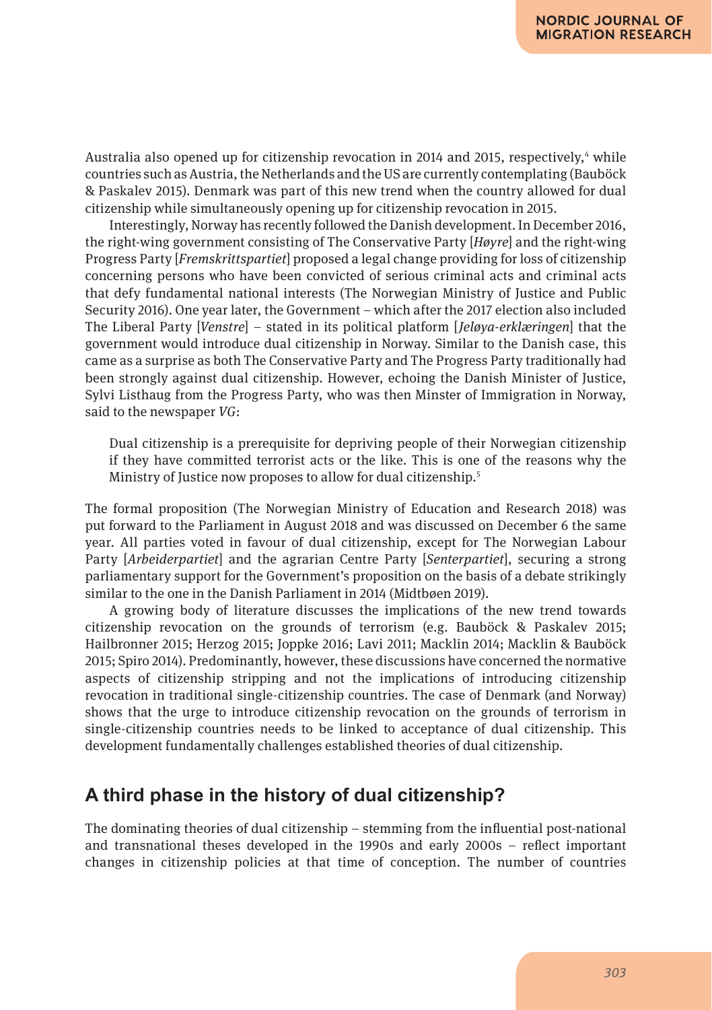Australia also opened up for citizenship revocation in 2014 and 2015, respectively,<sup>4</sup> while countries such as Austria, the Netherlands and the US are currently contemplating (Bauböck & Paskalev 2015). Denmark was part of this new trend when the country allowed for dual citizenship while simultaneously opening up for citizenship revocation in 2015.

Interestingly, Norway has recently followed the Danish development. In December 2016, the right-wing government consisting of The Conservative Party [*Høyre*] and the right-wing Progress Party [*Fremskrittspartiet*] proposed a legal change providing for loss of citizenship concerning persons who have been convicted of serious criminal acts and criminal acts that defy fundamental national interests (The Norwegian Ministry of Justice and Public Security 2016). One year later, the Government – which after the 2017 election also included The Liberal Party [*Venstre*] – stated in its political platform [*Jeløya-erklæringen*] that the government would introduce dual citizenship in Norway. Similar to the Danish case, this came as a surprise as both The Conservative Party and The Progress Party traditionally had been strongly against dual citizenship. However, echoing the Danish Minister of Justice, Sylvi Listhaug from the Progress Party, who was then Minster of Immigration in Norway, said to the newspaper *VG*:

Dual citizenship is a prerequisite for depriving people of their Norwegian citizenship if they have committed terrorist acts or the like. This is one of the reasons why the Ministry of Justice now proposes to allow for dual citizenship.5

The formal proposition (The Norwegian Ministry of Education and Research 2018) was put forward to the Parliament in August 2018 and was discussed on December 6 the same year. All parties voted in favour of dual citizenship, except for The Norwegian Labour Party [*Arbeiderpartiet*] and the agrarian Centre Party [*Senterpartiet*], securing a strong parliamentary support for the Government's proposition on the basis of a debate strikingly similar to the one in the Danish Parliament in 2014 (Midtbøen 2019).

A growing body of literature discusses the implications of the new trend towards citizenship revocation on the grounds of terrorism (e.g. Bauböck & Paskalev 2015; Hailbronner 2015; Herzog 2015; Joppke 2016; Lavi 2011; Macklin 2014; Macklin & Bauböck 2015; Spiro 2014). Predominantly, however, these discussions have concerned the normative aspects of citizenship stripping and not the implications of introducing citizenship revocation in traditional single-citizenship countries. The case of Denmark (and Norway) shows that the urge to introduce citizenship revocation on the grounds of terrorism in single-citizenship countries needs to be linked to acceptance of dual citizenship. This development fundamentally challenges established theories of dual citizenship.

## **A third phase in the history of dual citizenship?**

The dominating theories of dual citizenship – stemming from the influential post-national and transnational theses developed in the 1990s and early 2000s – reflect important changes in citizenship policies at that time of conception. The number of countries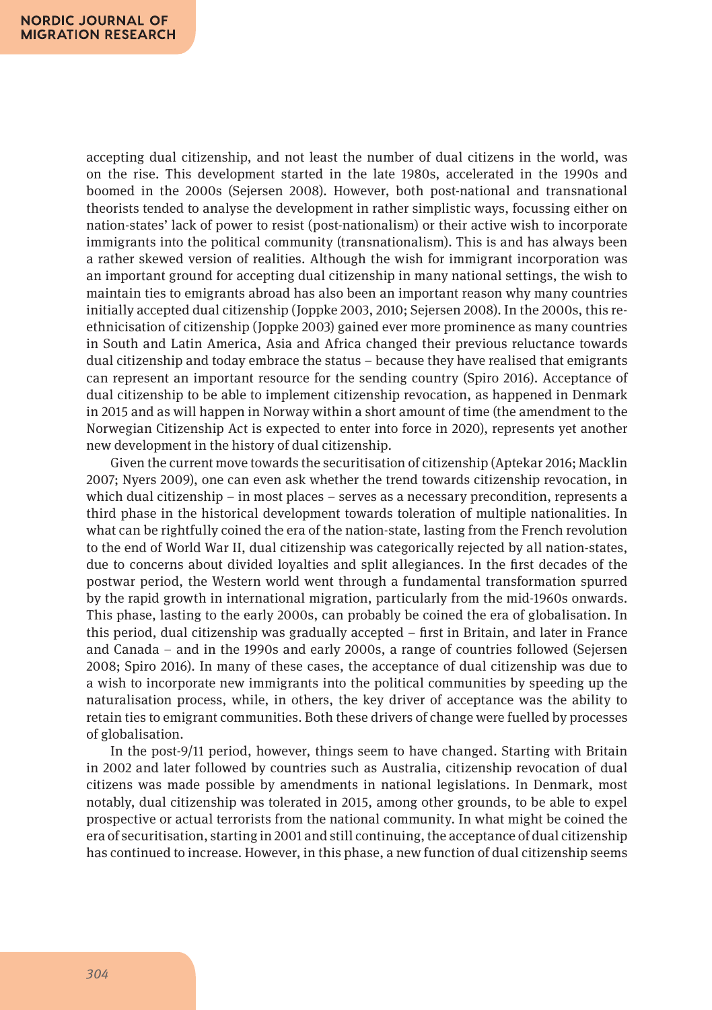accepting dual citizenship, and not least the number of dual citizens in the world, was on the rise. This development started in the late 1980s, accelerated in the 1990s and boomed in the 2000s (Sejersen 2008). However, both post-national and transnational theorists tended to analyse the development in rather simplistic ways, focussing either on nation-states' lack of power to resist (post-nationalism) or their active wish to incorporate immigrants into the political community (transnationalism). This is and has always been a rather skewed version of realities. Although the wish for immigrant incorporation was an important ground for accepting dual citizenship in many national settings, the wish to maintain ties to emigrants abroad has also been an important reason why many countries initially accepted dual citizenship (Joppke 2003, 2010; Sejersen 2008). In the 2000s, this reethnicisation of citizenship (Joppke 2003) gained ever more prominence as many countries in South and Latin America, Asia and Africa changed their previous reluctance towards dual citizenship and today embrace the status – because they have realised that emigrants can represent an important resource for the sending country (Spiro 2016). Acceptance of dual citizenship to be able to implement citizenship revocation, as happened in Denmark in 2015 and as will happen in Norway within a short amount of time (the amendment to the Norwegian Citizenship Act is expected to enter into force in 2020), represents yet another new development in the history of dual citizenship.

Given the current move towards the securitisation of citizenship (Aptekar 2016; Macklin 2007; Nyers 2009), one can even ask whether the trend towards citizenship revocation, in which dual citizenship – in most places – serves as a necessary precondition, represents a third phase in the historical development towards toleration of multiple nationalities. In what can be rightfully coined the era of the nation-state, lasting from the French revolution to the end of World War II, dual citizenship was categorically rejected by all nation-states, due to concerns about divided loyalties and split allegiances. In the first decades of the postwar period, the Western world went through a fundamental transformation spurred by the rapid growth in international migration, particularly from the mid-1960s onwards. This phase, lasting to the early 2000s, can probably be coined the era of globalisation. In this period, dual citizenship was gradually accepted – first in Britain, and later in France and Canada – and in the 1990s and early 2000s, a range of countries followed (Sejersen 2008; Spiro 2016). In many of these cases, the acceptance of dual citizenship was due to a wish to incorporate new immigrants into the political communities by speeding up the naturalisation process, while, in others, the key driver of acceptance was the ability to retain ties to emigrant communities. Both these drivers of change were fuelled by processes of globalisation.

In the post-9/11 period, however, things seem to have changed. Starting with Britain in 2002 and later followed by countries such as Australia, citizenship revocation of dual citizens was made possible by amendments in national legislations. In Denmark, most notably, dual citizenship was tolerated in 2015, among other grounds, to be able to expel prospective or actual terrorists from the national community. In what might be coined the era of securitisation, starting in 2001 and still continuing, the acceptance of dual citizenship has continued to increase. However, in this phase, a new function of dual citizenship seems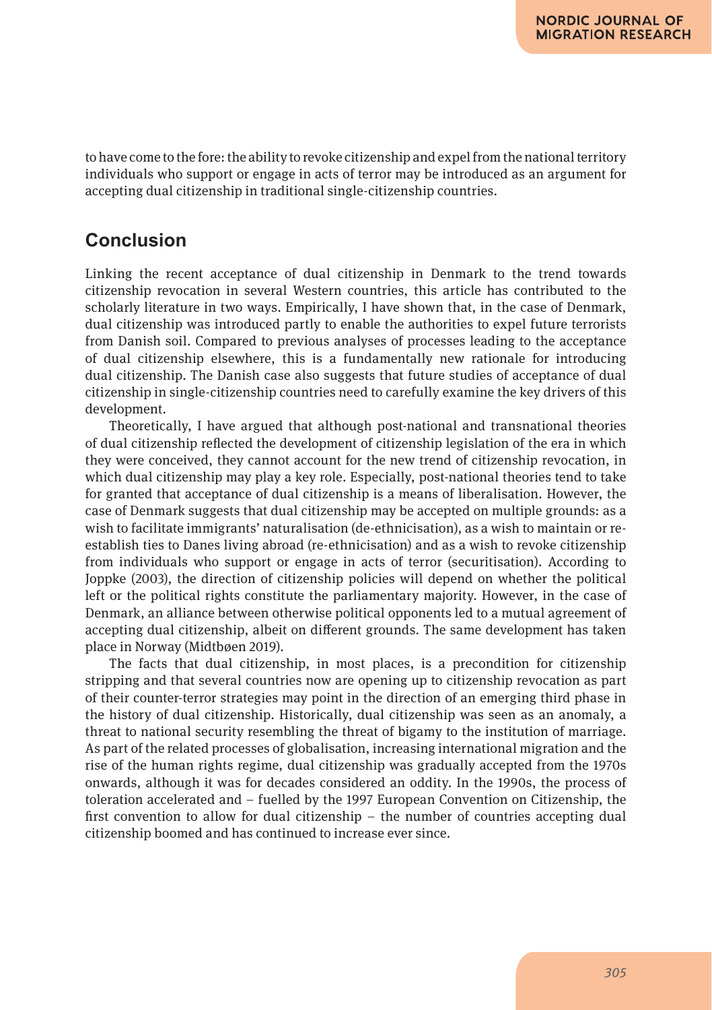to have come to the fore: the ability to revoke citizenship and expel from the national territory individuals who support or engage in acts of terror may be introduced as an argument for accepting dual citizenship in traditional single-citizenship countries.

#### **Conclusion**

Linking the recent acceptance of dual citizenship in Denmark to the trend towards citizenship revocation in several Western countries, this article has contributed to the scholarly literature in two ways. Empirically, I have shown that, in the case of Denmark, dual citizenship was introduced partly to enable the authorities to expel future terrorists from Danish soil. Compared to previous analyses of processes leading to the acceptance of dual citizenship elsewhere, this is a fundamentally new rationale for introducing dual citizenship. The Danish case also suggests that future studies of acceptance of dual citizenship in single-citizenship countries need to carefully examine the key drivers of this development.

Theoretically, I have argued that although post-national and transnational theories of dual citizenship reflected the development of citizenship legislation of the era in which they were conceived, they cannot account for the new trend of citizenship revocation, in which dual citizenship may play a key role. Especially, post-national theories tend to take for granted that acceptance of dual citizenship is a means of liberalisation. However, the case of Denmark suggests that dual citizenship may be accepted on multiple grounds: as a wish to facilitate immigrants' naturalisation (de-ethnicisation), as a wish to maintain or reestablish ties to Danes living abroad (re-ethnicisation) and as a wish to revoke citizenship from individuals who support or engage in acts of terror (securitisation). According to Joppke (2003), the direction of citizenship policies will depend on whether the political left or the political rights constitute the parliamentary majority. However, in the case of Denmark, an alliance between otherwise political opponents led to a mutual agreement of accepting dual citizenship, albeit on different grounds. The same development has taken place in Norway (Midtbøen 2019).

The facts that dual citizenship, in most places, is a precondition for citizenship stripping and that several countries now are opening up to citizenship revocation as part of their counter-terror strategies may point in the direction of an emerging third phase in the history of dual citizenship. Historically, dual citizenship was seen as an anomaly, a threat to national security resembling the threat of bigamy to the institution of marriage. As part of the related processes of globalisation, increasing international migration and the rise of the human rights regime, dual citizenship was gradually accepted from the 1970s onwards, although it was for decades considered an oddity. In the 1990s, the process of toleration accelerated and – fuelled by the 1997 European Convention on Citizenship, the first convention to allow for dual citizenship – the number of countries accepting dual citizenship boomed and has continued to increase ever since.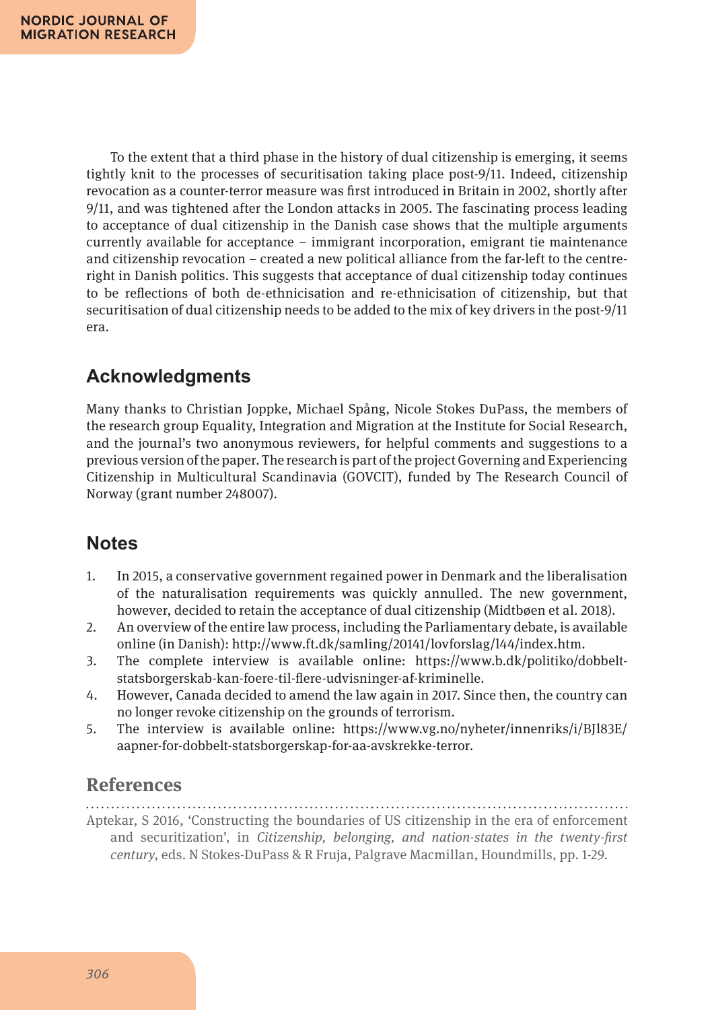To the extent that a third phase in the history of dual citizenship is emerging, it seems tightly knit to the processes of securitisation taking place post-9/11. Indeed, citizenship revocation as a counter-terror measure was first introduced in Britain in 2002, shortly after 9/11, and was tightened after the London attacks in 2005. The fascinating process leading to acceptance of dual citizenship in the Danish case shows that the multiple arguments currently available for acceptance – immigrant incorporation, emigrant tie maintenance and citizenship revocation – created a new political alliance from the far-left to the centreright in Danish politics. This suggests that acceptance of dual citizenship today continues to be reflections of both de-ethnicisation and re-ethnicisation of citizenship, but that securitisation of dual citizenship needs to be added to the mix of key drivers in the post-9/11 era.

# **Acknowledgments**

Many thanks to Christian Joppke, Michael Spång, Nicole Stokes DuPass, the members of the research group Equality, Integration and Migration at the Institute for Social Research, and the journal's two anonymous reviewers, for helpful comments and suggestions to a previous version of the paper. The research is part of the project Governing and Experiencing Citizenship in Multicultural Scandinavia (GOVCIT), funded by The Research Council of Norway (grant number 248007).

## **Notes**

- 1. In 2015, a conservative government regained power in Denmark and the liberalisation of the naturalisation requirements was quickly annulled. The new government, however, decided to retain the acceptance of dual citizenship (Midtbøen et al. 2018).
- 2. An overview of the entire law process, including the Parliamentary debate, is available online (in Danish): http://www.ft.dk/samling/20141/lovforslag/l44/index.htm.
- 3. The complete interview is available online: https://www.b.dk/politiko/dobbeltstatsborgerskab-kan-foere-til-flere-udvisninger-af-kriminelle.
- 4. However, Canada decided to amend the law again in 2017. Since then, the country can no longer revoke citizenship on the grounds of terrorism.
- 5. The interview is available online: https://www.vg.no/nyheter/innenriks/i/BJl83E/ aapner-for-dobbelt-statsborgerskap-for-aa-avskrekke-terror.

## **References**

Aptekar, S 2016, 'Constructing the boundaries of US citizenship in the era of enforcement and securitization', in *Citizenship, belonging, and nation-states in the twenty-first century*, eds. N Stokes-DuPass & R Fruja, Palgrave Macmillan, Houndmills, pp. 1-29.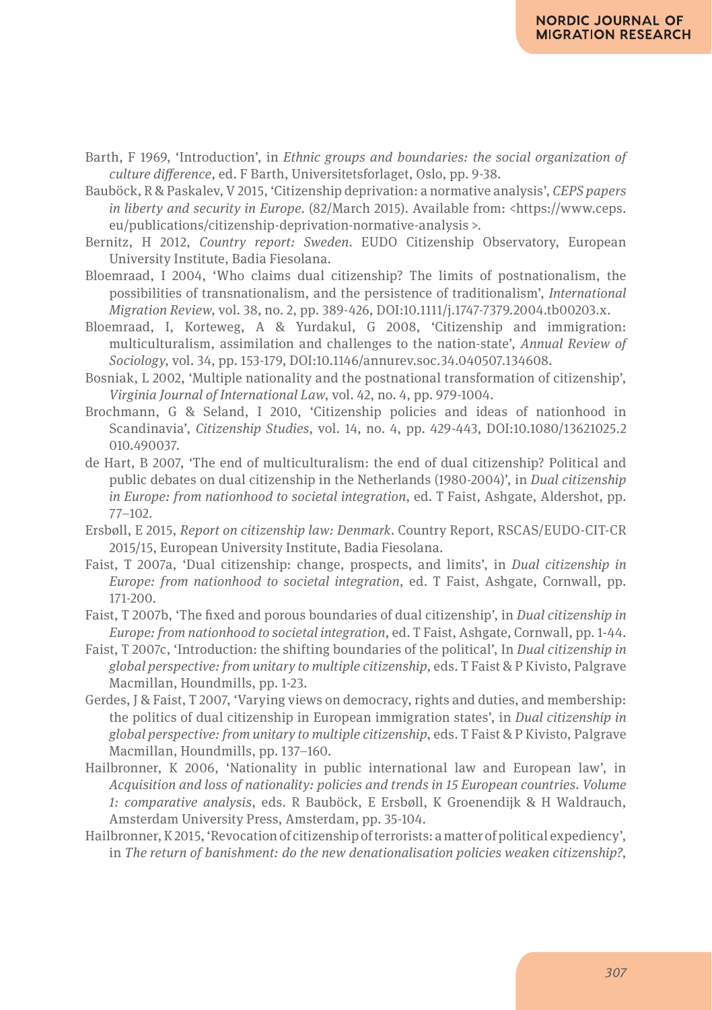- Barth, F 1969, 'Introduction', in *Ethnic groups and boundaries: the social organization of culture difference*, ed. F Barth, Universitetsforlaget, Oslo, pp. 9-38.
- Bauböck, R & Paskalev, V 2015, 'Citizenship deprivation: a normative analysis', *CEPS papers in liberty and security in Europe.* (82/March 2015). Available from: <https://www.ceps. eu/publications/citizenship-deprivation-normative-analysis >.
- Bernitz, H 2012, *Country report: Sweden*. EUDO Citizenship Observatory, European University Institute, Badia Fiesolana.
- Bloemraad, I 2004, 'Who claims dual citizenship? The limits of postnationalism, the possibilities of transnationalism, and the persistence of traditionalism', *International Migration Review*, vol. 38, no. 2, pp. 389-426, DOI:10.1111/j.1747-7379.2004.tb00203.x.
- Bloemraad, I, Korteweg, A & Yurdakul, G 2008, 'Citizenship and immigration: multiculturalism, assimilation and challenges to the nation-state', *Annual Review of Sociology*, vol. 34, pp. 153-179, DOI:10.1146/annurev.soc.34.040507.134608.
- Bosniak, L 2002, 'Multiple nationality and the postnational transformation of citizenship', *Virginia Journal of International Law*, vol. 42, no. 4, pp. 979-1004.
- Brochmann, G & Seland, I 2010, 'Citizenship policies and ideas of nationhood in Scandinavia', *Citizenship Studies*, vol. 14, no. 4, pp. 429-443, DOI:10.1080/13621025.2 010.490037.
- de Hart, B 2007, 'The end of multiculturalism: the end of dual citizenship? Political and public debates on dual citizenship in the Netherlands (1980-2004)', in *Dual citizenship in Europe: from nationhood to societal integration*, ed. T Faist, Ashgate, Aldershot, pp. 77–102.
- Ersbøll, E 2015, *Report on citizenship law: Denmark*. Country Report, RSCAS/EUDO-CIT-CR 2015/15, European University Institute, Badia Fiesolana.
- Faist, T 2007a, 'Dual citizenship: change, prospects, and limits', in *Dual citizenship in Europe: from nationhood to societal integration*, ed. T Faist, Ashgate, Cornwall, pp. 171-200.
- Faist, T 2007b, 'The fixed and porous boundaries of dual citizenship', in *Dual citizenship in Europe: from nationhood to societal integration*, ed. T Faist, Ashgate, Cornwall, pp. 1-44.
- Faist, T 2007c, 'Introduction: the shifting boundaries of the political', In *Dual citizenship in global perspective: from unitary to multiple citizenship*, eds. T Faist & P Kivisto, Palgrave Macmillan, Houndmills, pp. 1-23.
- Gerdes, J & Faist, T 2007, 'Varying views on democracy, rights and duties, and membership: the politics of dual citizenship in European immigration states', in *Dual citizenship in global perspective: from unitary to multiple citizenship*, eds. T Faist & P Kivisto, Palgrave Macmillan, Houndmills, pp. 137–160.
- Hailbronner, K 2006, 'Nationality in public international law and European law', in *Acquisition and loss of nationality: policies and trends in 15 European countries. Volume 1: comparative analysis*, eds. R Bauböck, E Ersbøll, K Groenendijk & H Waldrauch, Amsterdam University Press, Amsterdam, pp. 35-104.
- Hailbronner, K 2015, 'Revocation of citizenship of terrorists: a matter of political expediency', in *The return of banishment: do the new denationalisation policies weaken citizenship?*,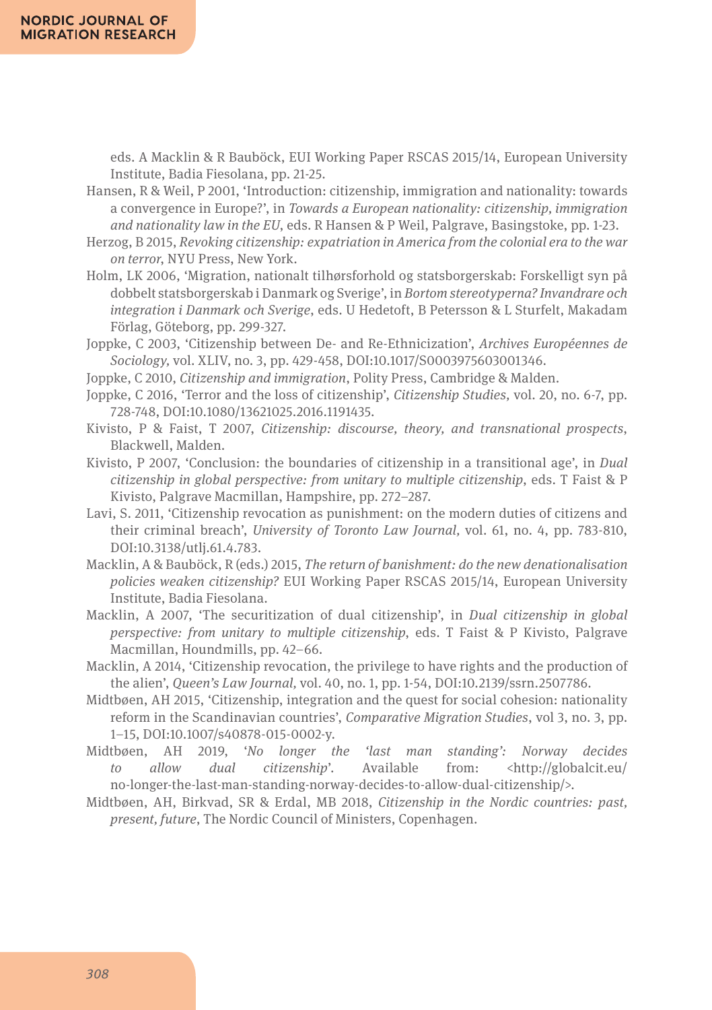eds. A Macklin & R Bauböck, EUI Working Paper RSCAS 2015/14, European University Institute, Badia Fiesolana, pp. 21-25.

Hansen, R & Weil, P 2001, 'Introduction: citizenship, immigration and nationality: towards a convergence in Europe?', in *Towards a European nationality: citizenship, immigration and nationality law in the EU*, eds. R Hansen & P Weil, Palgrave, Basingstoke, pp. 1-23.

- Herzog, B 2015, *Revoking citizenship: expatriation in America from the colonial era to the war on terror*, NYU Press, New York.
- Holm, LK 2006, 'Migration, nationalt tilhørsforhold og statsborgerskab: Forskelligt syn på dobbelt statsborgerskab i Danmark og Sverige', in *Bortom stereotyperna? Invandrare och integration i Danmark och Sverige*, eds. U Hedetoft, B Petersson & L Sturfelt, Makadam Förlag, Göteborg, pp. 299-327.
- Joppke, C 2003, 'Citizenship between De- and Re-Ethnicization', *Archives Européennes de Sociology,* vol. XLIV, no. 3, pp. 429-458, DOI:10.1017/S0003975603001346.
- Joppke, C 2010, *Citizenship and immigration*, Polity Press, Cambridge & Malden.
- Joppke, C 2016, 'Terror and the loss of citizenship', *Citizenship Studies,* vol. 20, no. 6-7, pp. 728-748, DOI:10.1080/13621025.2016.1191435.
- Kivisto, P & Faist, T 2007, *Citizenship: discourse, theory, and transnational prospects*, Blackwell, Malden.
- Kivisto, P 2007, 'Conclusion: the boundaries of citizenship in a transitional age', in *Dual citizenship in global perspective: from unitary to multiple citizenship*, eds. T Faist & P Kivisto, Palgrave Macmillan, Hampshire, pp. 272–287.
- Lavi, S. 2011, 'Citizenship revocation as punishment: on the modern duties of citizens and their criminal breach', *University of Toronto Law Journal,* vol. 61, no. 4, pp. 783-810, DOI:10.3138/utlj.61.4.783.
- Macklin, A & Bauböck, R (eds.) 2015, *The return of banishment: do the new denationalisation policies weaken citizenship?* EUI Working Paper RSCAS 2015/14, European University Institute, Badia Fiesolana.
- Macklin, A 2007, 'The securitization of dual citizenship', in *Dual citizenship in global perspective: from unitary to multiple citizenship*, eds. T Faist & P Kivisto, Palgrave Macmillan, Houndmills, pp. 42–66.
- Macklin, A 2014, 'Citizenship revocation, the privilege to have rights and the production of the alien', *Queen's Law Journal,* vol. 40, no. 1, pp. 1-54, DOI:10.2139/ssrn.2507786.
- Midtbøen, AH 2015, 'Citizenship, integration and the quest for social cohesion: nationality reform in the Scandinavian countries', *Comparative Migration Studies*, vol 3, no. 3, pp. 1–15, DOI:10.1007/s40878-015-0002-y.
- Midtbøen, AH 2019, '*No longer the 'last man standing': Norway decides to allow dual citizenship*'. Available from: <http://globalcit.eu/ no-longer-the-last-man-standing-norway-decides-to-allow-dual-citizenship/>.
- Midtbøen, AH, Birkvad, SR & Erdal, MB 2018, *Citizenship in the Nordic countries: past, present, future*, The Nordic Council of Ministers, Copenhagen.